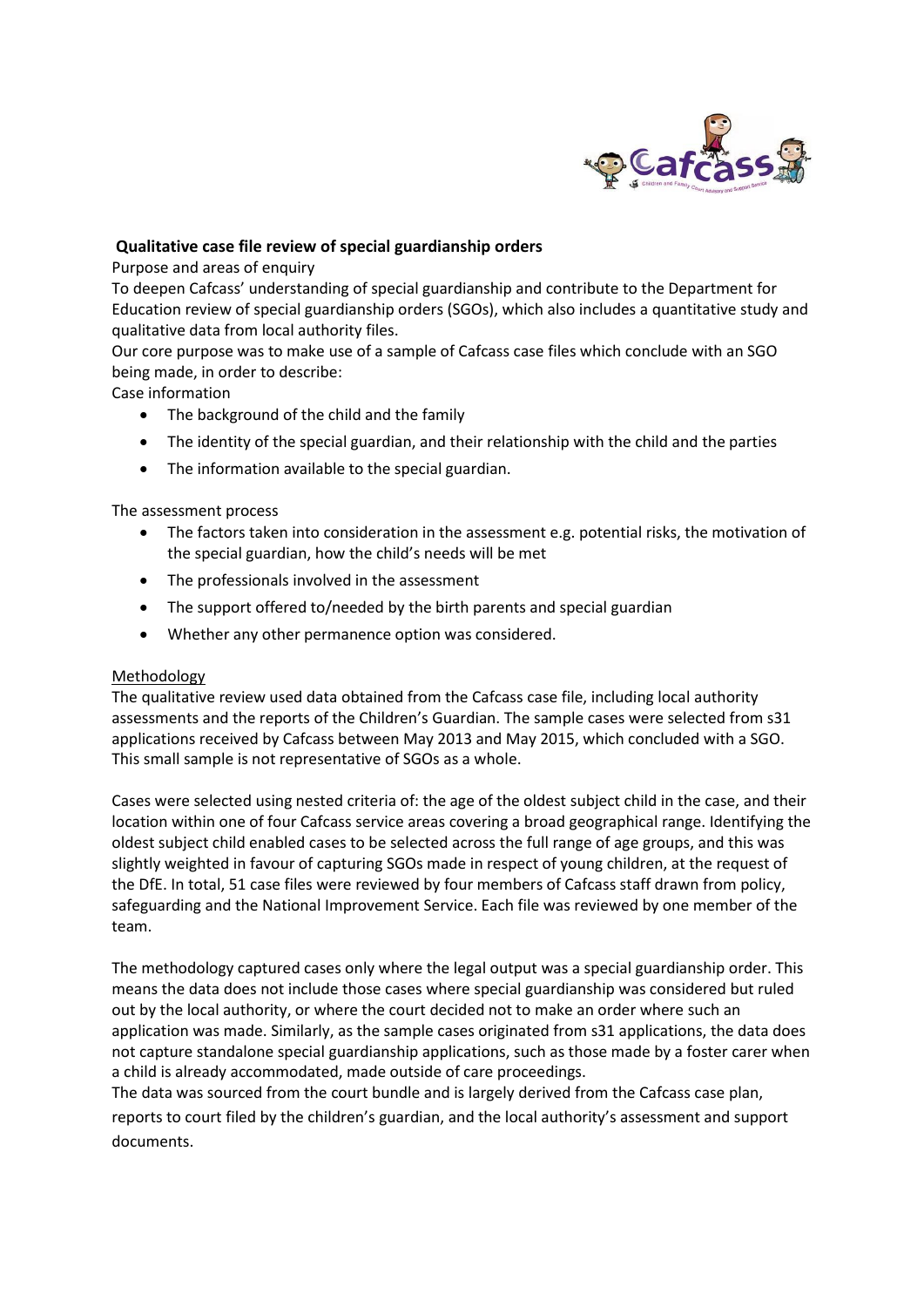

## **Qualitative case file review of special guardianship orders**

Purpose and areas of enquiry

To deepen Cafcass' understanding of special guardianship and contribute to the Department for Education review of special guardianship orders (SGOs), which also includes a quantitative study and qualitative data from local authority files.

Our core purpose was to make use of a sample of Cafcass case files which conclude with an SGO being made, in order to describe:

Case information

- The background of the child and the family
- The identity of the special guardian, and their relationship with the child and the parties
- The information available to the special guardian.

The assessment process

- The factors taken into consideration in the assessment e.g. potential risks, the motivation of the special guardian, how the child's needs will be met
- The professionals involved in the assessment
- The support offered to/needed by the birth parents and special guardian
- Whether any other permanence option was considered.

### Methodology

The qualitative review used data obtained from the Cafcass case file, including local authority assessments and the reports of the Children's Guardian. The sample cases were selected from s31 applications received by Cafcass between May 2013 and May 2015, which concluded with a SGO. This small sample is not representative of SGOs as a whole.

Cases were selected using nested criteria of: the age of the oldest subject child in the case, and their location within one of four Cafcass service areas covering a broad geographical range. Identifying the oldest subject child enabled cases to be selected across the full range of age groups, and this was slightly weighted in favour of capturing SGOs made in respect of young children, at the request of the DfE. In total, 51 case files were reviewed by four members of Cafcass staff drawn from policy, safeguarding and the National Improvement Service. Each file was reviewed by one member of the team.

The methodology captured cases only where the legal output was a special guardianship order. This means the data does not include those cases where special guardianship was considered but ruled out by the local authority, or where the court decided not to make an order where such an application was made. Similarly, as the sample cases originated from s31 applications, the data does not capture standalone special guardianship applications, such as those made by a foster carer when a child is already accommodated, made outside of care proceedings.

The data was sourced from the court bundle and is largely derived from the Cafcass case plan, reports to court filed by the children's guardian, and the local authority's assessment and support documents.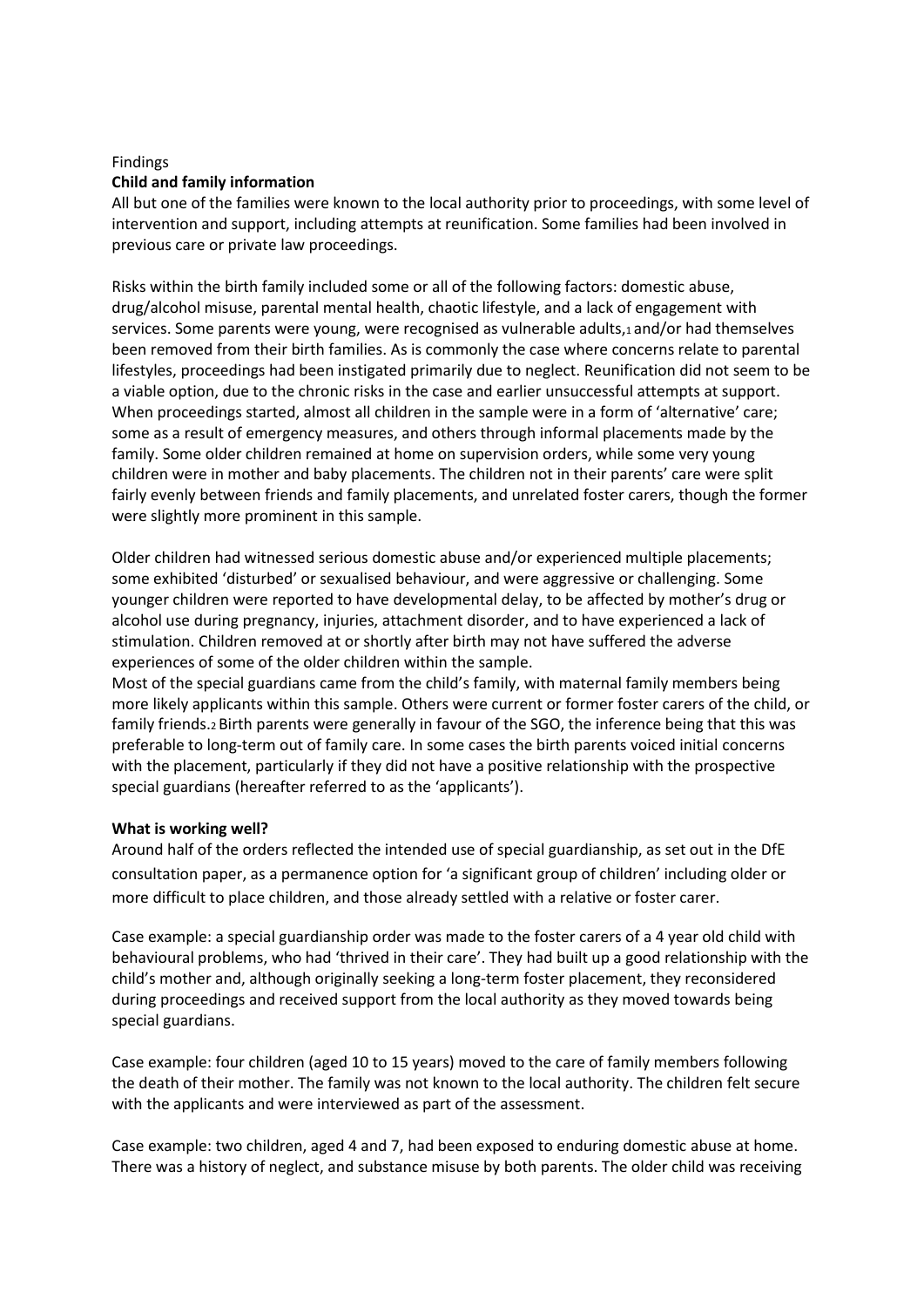# Findings **Child and family information**

All but one of the families were known to the local authority prior to proceedings, with some level of intervention and support, including attempts at reunification. Some families had been involved in previous care or private law proceedings.

Risks within the birth family included some or all of the following factors: domestic abuse, drug/alcohol misuse, parental mental health, chaotic lifestyle, and a lack of engagement with services. Some parents were young, were recognised as vulnerable adults,1 and/or had themselves been removed from their birth families. As is commonly the case where concerns relate to parental lifestyles, proceedings had been instigated primarily due to neglect. Reunification did not seem to be a viable option, due to the chronic risks in the case and earlier unsuccessful attempts at support. When proceedings started, almost all children in the sample were in a form of 'alternative' care; some as a result of emergency measures, and others through informal placements made by the family. Some older children remained at home on supervision orders, while some very young children were in mother and baby placements. The children not in their parents' care were split fairly evenly between friends and family placements, and unrelated foster carers, though the former were slightly more prominent in this sample.

Older children had witnessed serious domestic abuse and/or experienced multiple placements; some exhibited 'disturbed' or sexualised behaviour, and were aggressive or challenging. Some younger children were reported to have developmental delay, to be affected by mother's drug or alcohol use during pregnancy, injuries, attachment disorder, and to have experienced a lack of stimulation. Children removed at or shortly after birth may not have suffered the adverse experiences of some of the older children within the sample.

Most of the special guardians came from the child's family, with maternal family members being more likely applicants within this sample. Others were current or former foster carers of the child, or family friends.2 Birth parents were generally in favour of the SGO, the inference being that this was preferable to long-term out of family care. In some cases the birth parents voiced initial concerns with the placement, particularly if they did not have a positive relationship with the prospective special guardians (hereafter referred to as the 'applicants').

# **What is working well?**

Around half of the orders reflected the intended use of special guardianship, as set out in the DfE consultation paper, as a permanence option for 'a significant group of children' including older or more difficult to place children, and those already settled with a relative or foster carer.

Case example: a special guardianship order was made to the foster carers of a 4 year old child with behavioural problems, who had 'thrived in their care'. They had built up a good relationship with the child's mother and, although originally seeking a long-term foster placement, they reconsidered during proceedings and received support from the local authority as they moved towards being special guardians.

Case example: four children (aged 10 to 15 years) moved to the care of family members following the death of their mother. The family was not known to the local authority. The children felt secure with the applicants and were interviewed as part of the assessment.

Case example: two children, aged 4 and 7, had been exposed to enduring domestic abuse at home. There was a history of neglect, and substance misuse by both parents. The older child was receiving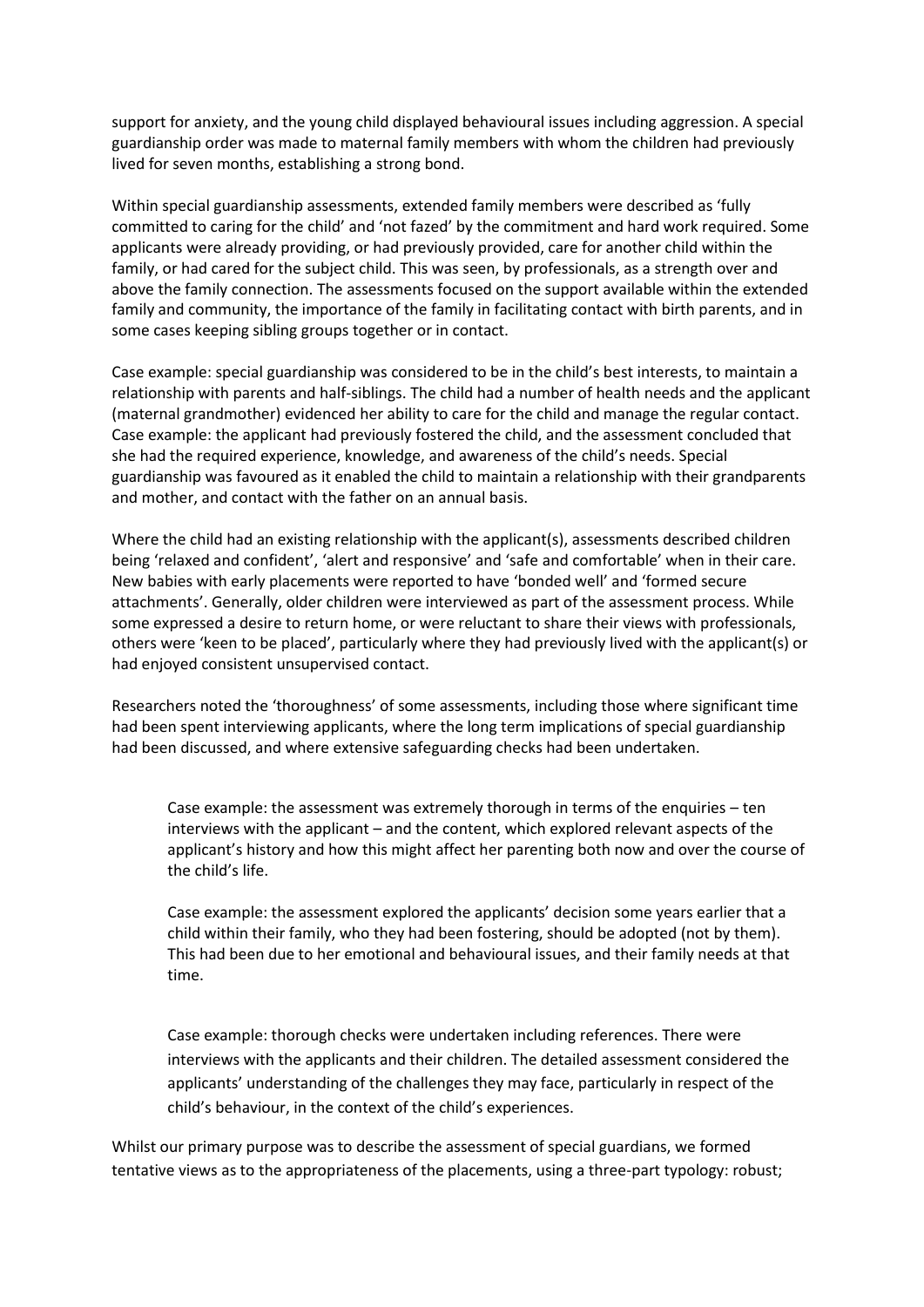support for anxiety, and the young child displayed behavioural issues including aggression. A special guardianship order was made to maternal family members with whom the children had previously lived for seven months, establishing a strong bond.

Within special guardianship assessments, extended family members were described as 'fully committed to caring for the child' and 'not fazed' by the commitment and hard work required. Some applicants were already providing, or had previously provided, care for another child within the family, or had cared for the subject child. This was seen, by professionals, as a strength over and above the family connection. The assessments focused on the support available within the extended family and community, the importance of the family in facilitating contact with birth parents, and in some cases keeping sibling groups together or in contact.

Case example: special guardianship was considered to be in the child's best interests, to maintain a relationship with parents and half-siblings. The child had a number of health needs and the applicant (maternal grandmother) evidenced her ability to care for the child and manage the regular contact. Case example: the applicant had previously fostered the child, and the assessment concluded that she had the required experience, knowledge, and awareness of the child's needs. Special guardianship was favoured as it enabled the child to maintain a relationship with their grandparents and mother, and contact with the father on an annual basis.

Where the child had an existing relationship with the applicant(s), assessments described children being 'relaxed and confident', 'alert and responsive' and 'safe and comfortable' when in their care. New babies with early placements were reported to have 'bonded well' and 'formed secure attachments'. Generally, older children were interviewed as part of the assessment process. While some expressed a desire to return home, or were reluctant to share their views with professionals, others were 'keen to be placed', particularly where they had previously lived with the applicant(s) or had enjoyed consistent unsupervised contact.

Researchers noted the 'thoroughness' of some assessments, including those where significant time had been spent interviewing applicants, where the long term implications of special guardianship had been discussed, and where extensive safeguarding checks had been undertaken.

Case example: the assessment was extremely thorough in terms of the enquiries – ten interviews with the applicant – and the content, which explored relevant aspects of the applicant's history and how this might affect her parenting both now and over the course of the child's life.

Case example: the assessment explored the applicants' decision some years earlier that a child within their family, who they had been fostering, should be adopted (not by them). This had been due to her emotional and behavioural issues, and their family needs at that time.

Case example: thorough checks were undertaken including references. There were interviews with the applicants and their children. The detailed assessment considered the applicants' understanding of the challenges they may face, particularly in respect of the child's behaviour, in the context of the child's experiences.

Whilst our primary purpose was to describe the assessment of special guardians, we formed tentative views as to the appropriateness of the placements, using a three-part typology: robust;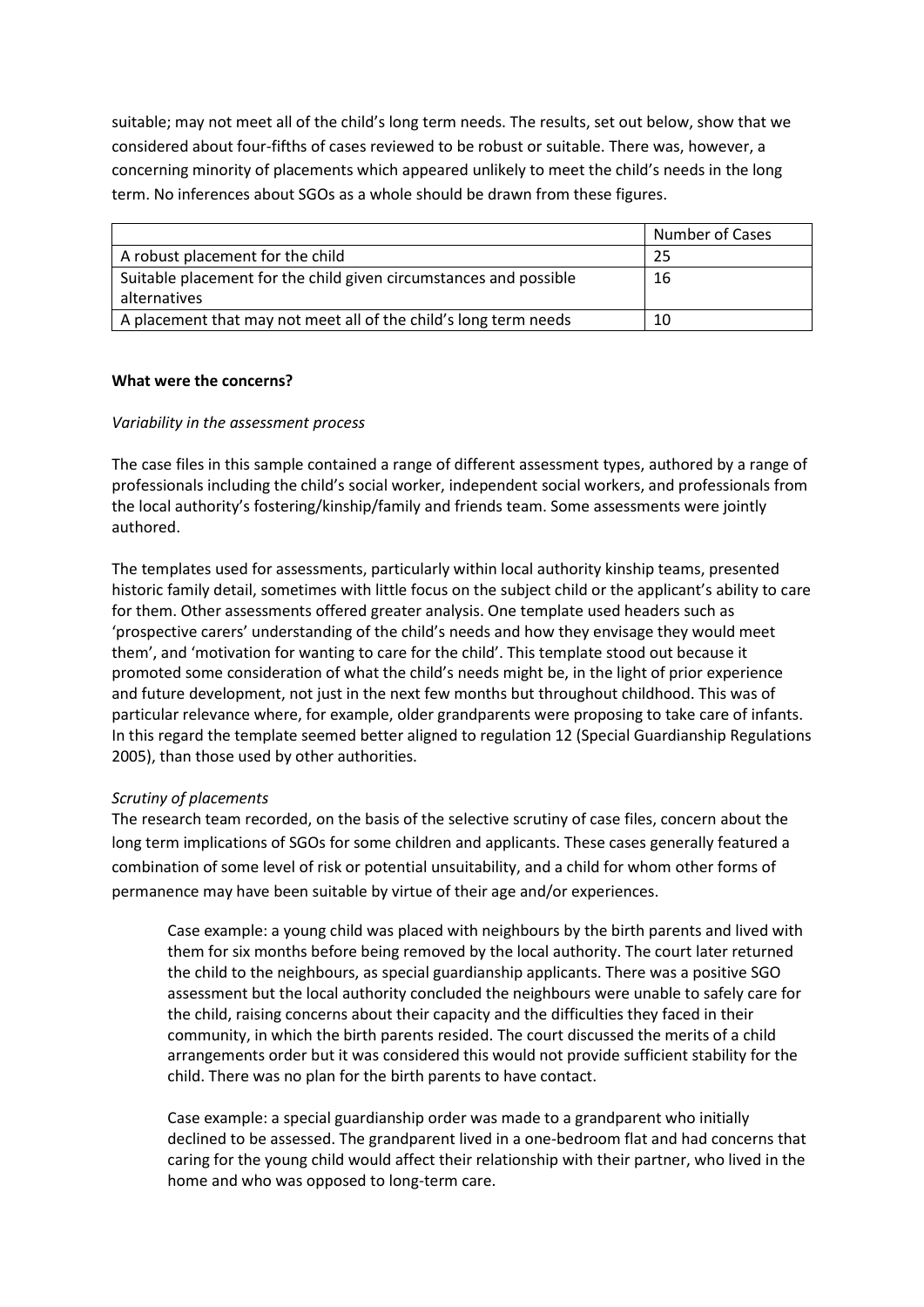suitable; may not meet all of the child's long term needs. The results, set out below, show that we considered about four-fifths of cases reviewed to be robust or suitable. There was, however, a concerning minority of placements which appeared unlikely to meet the child's needs in the long term. No inferences about SGOs as a whole should be drawn from these figures.

|                                                                                   | <b>Number of Cases</b> |
|-----------------------------------------------------------------------------------|------------------------|
| A robust placement for the child                                                  | 25                     |
| Suitable placement for the child given circumstances and possible<br>alternatives | 16                     |
| A placement that may not meet all of the child's long term needs                  | 10                     |

### **What were the concerns?**

### *Variability in the assessment process*

The case files in this sample contained a range of different assessment types, authored by a range of professionals including the child's social worker, independent social workers, and professionals from the local authority's fostering/kinship/family and friends team. Some assessments were jointly authored.

The templates used for assessments, particularly within local authority kinship teams, presented historic family detail, sometimes with little focus on the subject child or the applicant's ability to care for them. Other assessments offered greater analysis. One template used headers such as 'prospective carers' understanding of the child's needs and how they envisage they would meet them', and 'motivation for wanting to care for the child'. This template stood out because it promoted some consideration of what the child's needs might be, in the light of prior experience and future development, not just in the next few months but throughout childhood. This was of particular relevance where, for example, older grandparents were proposing to take care of infants. In this regard the template seemed better aligned to regulation 12 (Special Guardianship Regulations 2005), than those used by other authorities.

### *Scrutiny of placements*

The research team recorded, on the basis of the selective scrutiny of case files, concern about the long term implications of SGOs for some children and applicants. These cases generally featured a combination of some level of risk or potential unsuitability, and a child for whom other forms of permanence may have been suitable by virtue of their age and/or experiences.

Case example: a young child was placed with neighbours by the birth parents and lived with them for six months before being removed by the local authority. The court later returned the child to the neighbours, as special guardianship applicants. There was a positive SGO assessment but the local authority concluded the neighbours were unable to safely care for the child, raising concerns about their capacity and the difficulties they faced in their community, in which the birth parents resided. The court discussed the merits of a child arrangements order but it was considered this would not provide sufficient stability for the child. There was no plan for the birth parents to have contact.

Case example: a special guardianship order was made to a grandparent who initially declined to be assessed. The grandparent lived in a one-bedroom flat and had concerns that caring for the young child would affect their relationship with their partner, who lived in the home and who was opposed to long-term care.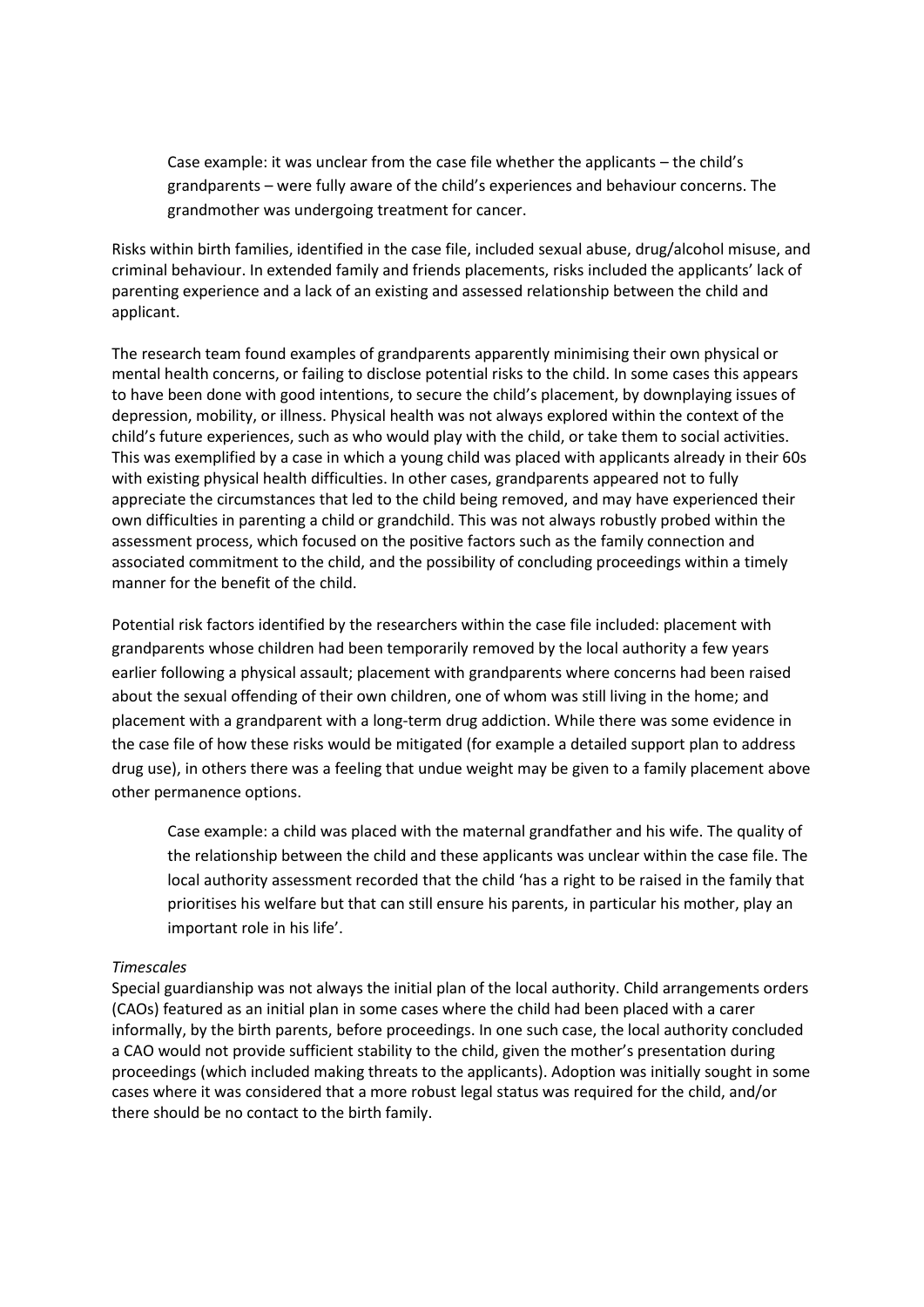Case example: it was unclear from the case file whether the applicants – the child's grandparents – were fully aware of the child's experiences and behaviour concerns. The grandmother was undergoing treatment for cancer.

Risks within birth families, identified in the case file, included sexual abuse, drug/alcohol misuse, and criminal behaviour. In extended family and friends placements, risks included the applicants' lack of parenting experience and a lack of an existing and assessed relationship between the child and applicant.

The research team found examples of grandparents apparently minimising their own physical or mental health concerns, or failing to disclose potential risks to the child. In some cases this appears to have been done with good intentions, to secure the child's placement, by downplaying issues of depression, mobility, or illness. Physical health was not always explored within the context of the child's future experiences, such as who would play with the child, or take them to social activities. This was exemplified by a case in which a young child was placed with applicants already in their 60s with existing physical health difficulties. In other cases, grandparents appeared not to fully appreciate the circumstances that led to the child being removed, and may have experienced their own difficulties in parenting a child or grandchild. This was not always robustly probed within the assessment process, which focused on the positive factors such as the family connection and associated commitment to the child, and the possibility of concluding proceedings within a timely manner for the benefit of the child.

Potential risk factors identified by the researchers within the case file included: placement with grandparents whose children had been temporarily removed by the local authority a few years earlier following a physical assault; placement with grandparents where concerns had been raised about the sexual offending of their own children, one of whom was still living in the home; and placement with a grandparent with a long-term drug addiction. While there was some evidence in the case file of how these risks would be mitigated (for example a detailed support plan to address drug use), in others there was a feeling that undue weight may be given to a family placement above other permanence options.

Case example: a child was placed with the maternal grandfather and his wife. The quality of the relationship between the child and these applicants was unclear within the case file. The local authority assessment recorded that the child 'has a right to be raised in the family that prioritises his welfare but that can still ensure his parents, in particular his mother, play an important role in his life'.

#### *Timescales*

Special guardianship was not always the initial plan of the local authority. Child arrangements orders (CAOs) featured as an initial plan in some cases where the child had been placed with a carer informally, by the birth parents, before proceedings. In one such case, the local authority concluded a CAO would not provide sufficient stability to the child, given the mother's presentation during proceedings (which included making threats to the applicants). Adoption was initially sought in some cases where it was considered that a more robust legal status was required for the child, and/or there should be no contact to the birth family.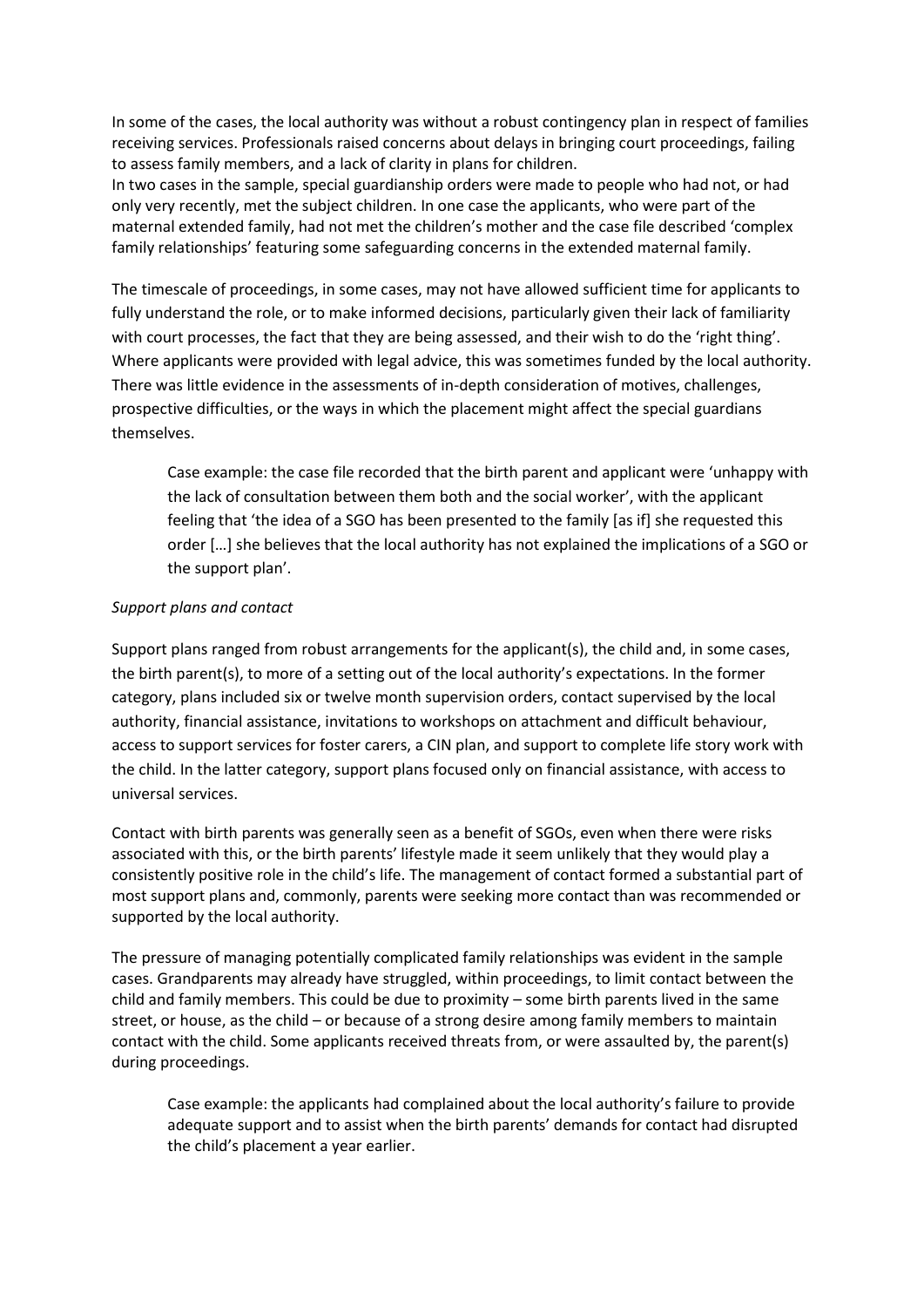In some of the cases, the local authority was without a robust contingency plan in respect of families receiving services. Professionals raised concerns about delays in bringing court proceedings, failing to assess family members, and a lack of clarity in plans for children.

In two cases in the sample, special guardianship orders were made to people who had not, or had only very recently, met the subject children. In one case the applicants, who were part of the maternal extended family, had not met the children's mother and the case file described 'complex family relationships' featuring some safeguarding concerns in the extended maternal family.

The timescale of proceedings, in some cases, may not have allowed sufficient time for applicants to fully understand the role, or to make informed decisions, particularly given their lack of familiarity with court processes, the fact that they are being assessed, and their wish to do the 'right thing'. Where applicants were provided with legal advice, this was sometimes funded by the local authority. There was little evidence in the assessments of in-depth consideration of motives, challenges, prospective difficulties, or the ways in which the placement might affect the special guardians themselves.

Case example: the case file recorded that the birth parent and applicant were 'unhappy with the lack of consultation between them both and the social worker', with the applicant feeling that 'the idea of a SGO has been presented to the family [as if] she requested this order […] she believes that the local authority has not explained the implications of a SGO or the support plan'.

## *Support plans and contact*

Support plans ranged from robust arrangements for the applicant(s), the child and, in some cases, the birth parent(s), to more of a setting out of the local authority's expectations. In the former category, plans included six or twelve month supervision orders, contact supervised by the local authority, financial assistance, invitations to workshops on attachment and difficult behaviour, access to support services for foster carers, a CIN plan, and support to complete life story work with the child. In the latter category, support plans focused only on financial assistance, with access to universal services.

Contact with birth parents was generally seen as a benefit of SGOs, even when there were risks associated with this, or the birth parents' lifestyle made it seem unlikely that they would play a consistently positive role in the child's life. The management of contact formed a substantial part of most support plans and, commonly, parents were seeking more contact than was recommended or supported by the local authority.

The pressure of managing potentially complicated family relationships was evident in the sample cases. Grandparents may already have struggled, within proceedings, to limit contact between the child and family members. This could be due to proximity – some birth parents lived in the same street, or house, as the child – or because of a strong desire among family members to maintain contact with the child. Some applicants received threats from, or were assaulted by, the parent(s) during proceedings.

Case example: the applicants had complained about the local authority's failure to provide adequate support and to assist when the birth parents' demands for contact had disrupted the child's placement a year earlier.